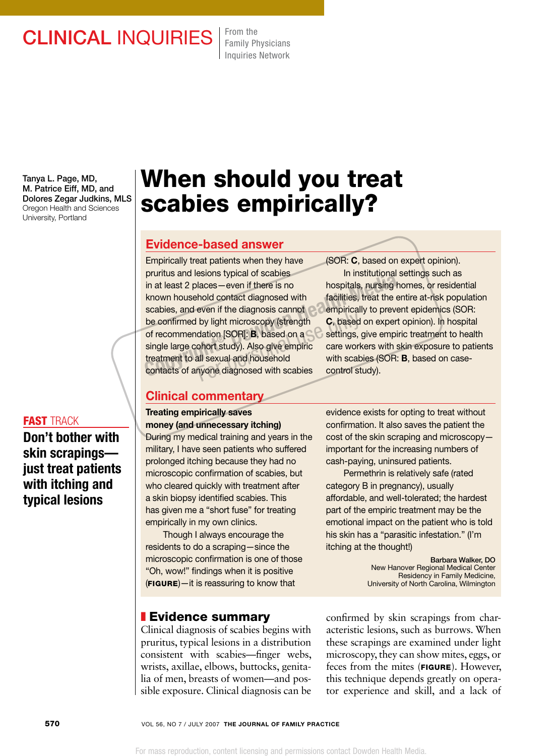# CLINICAL INQUIRIES From the

Family Physicians Inquiries Network

Tanya L. Page, MD, M. Patrice Eiff, MD, and Dolores Zegar Judkins, MLS Oregon Health and Sciences University, Portland

#### fast track

Don't bother with skin scrapings just treat patients with itching and typical lesions

# When should you treat scabies empirically?

## Evidence-based answer

Empirically treat patients when they have pruritus and lesions typical of scabies in at least 2 places—even if there is no known household contact diagnosed with scabies, and even if the diagnosis cannot be confirmed by light microscopy (strength of recommendation [SOR]: B, based on a single large cohort study). Also give empiric treatment to all sexual and household contacts of anyone diagnosed with scabies **Communism School School School School School School School School School School School School School School School School School School School School School School School School School School School School School School S** by light microscopy (strength C, based<br>dation [SOR]: **B**, based on a settings, gohort study). Also give empiric care work<br>all sexual and household with scabinyone diagnosed with scabies control st

Clinical commentary

#### Treating empirically saves money (and unnecessary itching) During my medical training and years in the

military, I have seen patients who suffered prolonged itching because they had no microscopic confirmation of scabies, but who cleared quickly with treatment after a skin biopsy identified scabies. This has given me a "short fuse" for treating empirically in my own clinics.

Though I always encourage the residents to do a scraping—since the microscopic confirmation is one of those "Oh, wow!" findings when it is positive  $(FIGURE) - it$  is reassuring to know that

## **Evidence summary**

Clinical diagnosis of scabies begins with pruritus, typical lesions in a distribution consistent with scabies—finger webs, wrists, axillae, elbows, buttocks, genitalia of men, breasts of women—and possible exposure. Clinical diagnosis can be

(SOR: C, based on expert opinion). In institutional settings such as hospitals, nursing homes, or residential facilities, treat the entire at-risk population empirically to prevent epidemics (SOR: C, based on expert opinion). In hospital settings, give empiric treatment to health care workers with skin exposure to patients with scabies (SOR: B, based on casecontrol study).

evidence exists for opting to treat without confirmation. It also saves the patient the cost of the skin scraping and microscopy important for the increasing numbers of cash-paying, uninsured patients.

Permethrin is relatively safe (rated category B in pregnancy), usually affordable, and well-tolerated; the hardest part of the empiric treatment may be the emotional impact on the patient who is told his skin has a "parasitic infestation." (I'm itching at the thought!)

> Barbara Walker, DO New Hanover Regional Medical Center Residency in Family Medicine, University of North Carolina, Wilmington

confirmed by skin scrapings from characteristic lesions, such as burrows. When these scrapings are examined under light microscopy, they can show mites, eggs, or feces from the mites (FIGURE). However, this technique depends greatly on operator experience and skill, and a lack of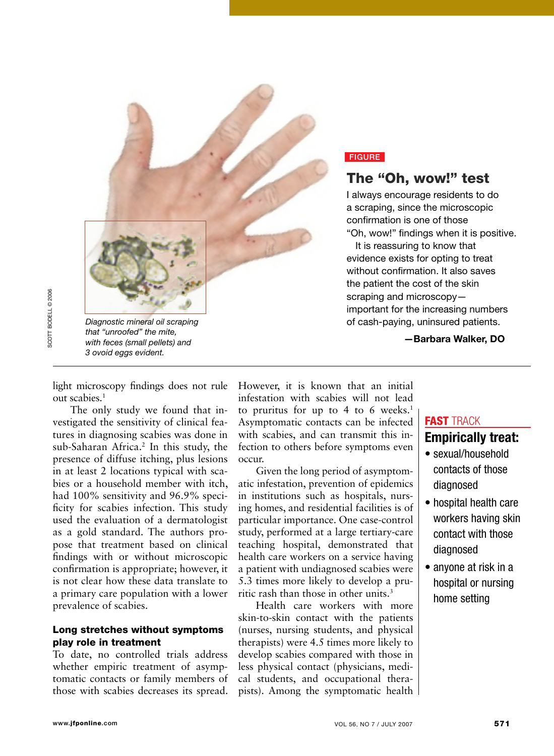

#### **FIGURE**

## The "Oh, wow!" test

I always encourage residents to do a scraping, since the microscopic confirmation is one of those "Oh, wow!" findings when it is positive.

It is reassuring to know that evidence exists for opting to treat without confirmation. It also saves the patient the cost of the skin scraping and microscopyimportant for the increasing numbers of cash-paying, uninsured patients.

—Barbara Walker, DO

light microscopy findings does not rule out scabies.1

The only study we found that investigated the sensitivity of clinical features in diagnosing scabies was done in sub-Saharan Africa.<sup>2</sup> In this study, the presence of diffuse itching, plus lesions in at least 2 locations typical with scabies or a household member with itch, had 100% sensitivity and 96.9% specificity for scabies infection. This study used the evaluation of a dermatologist as a gold standard. The authors propose that treatment based on clinical findings with or without microscopic confirmation is appropriate; however, it is not clear how these data translate to a primary care population with a lower prevalence of scabies.

#### Long stretches without symptoms play role in treatment

To date, no controlled trials address whether empiric treatment of asymptomatic contacts or family members of those with scabies decreases its spread. However, it is known that an initial infestation with scabies will not lead to pruritus for up to 4 to 6 weeks.<sup>1</sup> Asymptomatic contacts can be infected with scabies, and can transmit this infection to others before symptoms even occur.

Given the long period of asymptomatic infestation, prevention of epidemics in institutions such as hospitals, nursing homes, and residential facilities is of particular importance. One case-control study, performed at a large tertiary-care teaching hospital, demonstrated that health care workers on a service having a patient with undiagnosed scabies were 5.3 times more likely to develop a pruritic rash than those in other units.3

Health care workers with more skin-to-skin contact with the patients (nurses, nursing students, and physical therapists) were 4.5 times more likely to develop scabies compared with those in less physical contact (physicians, medical students, and occupational therapists). Among the symptomatic health

## FAST TRACK Empirically treat:

- sexual/household contacts of those diagnosed
- hospital health care workers having skin contact with those diagnosed
- anyone at risk in a hospital or nursing home setting